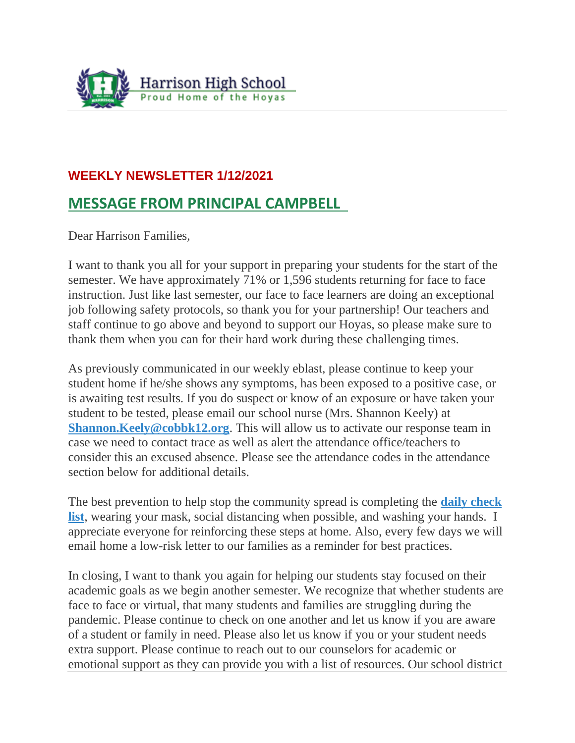

## **WEEKLY NEWSLETTER 1/12/2021**

## **MESSAGE FROM PRINCIPAL CAMPBELL**

Dear Harrison Families,

I want to thank you all for your support in preparing your students for the start of the semester. We have approximately 71% or 1,596 students returning for face to face instruction. Just like last semester, our face to face learners are doing an exceptional job following safety protocols, so thank you for your partnership! Our teachers and staff continue to go above and beyond to support our Hoyas, so please make sure to thank them when you can for their hard work during these challenging times.

As previously communicated in our weekly eblast, please continue to keep your student home if he/she shows any symptoms, has been exposed to a positive case, or is awaiting test results. If you do suspect or know of an exposure or have taken your student to be tested, please email our school nurse (Mrs. Shannon Keely) at **[Shannon.Keely@cobbk12.org](mailto:Shannon.Keely@cobbk12.org).** This will allow us to activate our response team in case we need to contact trace as well as alert the attendance office/teachers to consider this an excused absence. Please see the attendance codes in the attendance section below for additional details.

The best prevention to help stop the community spread is completing the **[daily check](https://secureservercdn.net/45.40.150.136/2hf.82a.myftpupload.com/wp-content/uploads/2020/09/Health-Checklist_Digital.pdf)  [list](https://secureservercdn.net/45.40.150.136/2hf.82a.myftpupload.com/wp-content/uploads/2020/09/Health-Checklist_Digital.pdf)**, wearing your mask, social distancing when possible, and washing your hands. I appreciate everyone for reinforcing these steps at home. Also, every few days we will email home a low-risk letter to our families as a reminder for best practices.

In closing, I want to thank you again for helping our students stay focused on their academic goals as we begin another semester. We recognize that whether students are face to face or virtual, that many students and families are struggling during the pandemic. Please continue to check on one another and let us know if you are aware of a student or family in need. Please also let us know if you or your student needs extra support. Please continue to reach out to our counselors for academic or emotional support as they can provide you with a list of resources. Our school district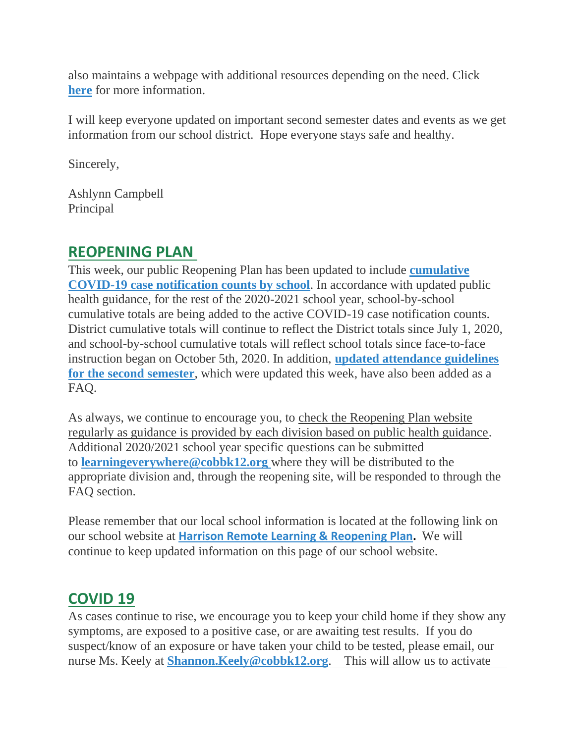also maintains a webpage with additional resources depending on the need. Click **[here](https://www.cobbk12.org/page/28428/cobb-county-school-social-work-family-resources)** for more information.

I will keep everyone updated on important second semester dates and events as we get information from our school district. Hope everyone stays safe and healthy.

Sincerely,

Ashlynn Campbell Principal

#### **REOPENING PLAN**

This week, our public Reopening Plan has been updated to include **[cumulative](https://www.cobbk12.org/learningeverywhere/page/36826/covid-case-notification)  [COVID-19 case notification counts by school](https://www.cobbk12.org/learningeverywhere/page/36826/covid-case-notification)**. In accordance with updated public health guidance, for the rest of the 2020-2021 school year, school-by-school cumulative totals are being added to the active COVID-19 case notification counts. District cumulative totals will continue to reflect the District totals since July 1, 2020, and school-by-school cumulative totals will reflect school totals since face-to-face instruction began on October 5th, 2020. In addition, **[updated attendance guidelines](https://www.cobbk12.org/learningeverywhere/page/36860/faqs)  [for the second semester](https://www.cobbk12.org/learningeverywhere/page/36860/faqs)**, which were updated this week, have also been added as a FAQ.

As always, we continue to encourage you, to check the Reopening Plan website regularly as guidance is provided by each division based on public health guidance. Additional 2020/2021 school year specific questions can be submitted to **[learningeverywhere@cobbk12.org](mailto:learningeverywhere@cobbk12.org)** where they will be distributed to the appropriate division and, through the reopening site, will be responded to through the FAQ section.

Please remember that our local school information is located at the following link on our school website at **[Harrison Remote Learning & Reopening Plan.](http://www.harrisonhigh.org/Remote-Learning-Information)** We will continue to keep updated information on this page of our school website.

## **COVID 19**

As cases continue to rise, we encourage you to keep your child home if they show any symptoms, are exposed to a positive case, or are awaiting test results. If you do suspect/know of an exposure or have taken your child to be tested, please email, our nurse Ms. Keely at **[Shannon.Keely@cobbk12.org](mailto:shannon.keely@cobbk12.org)**. This will allow us to activate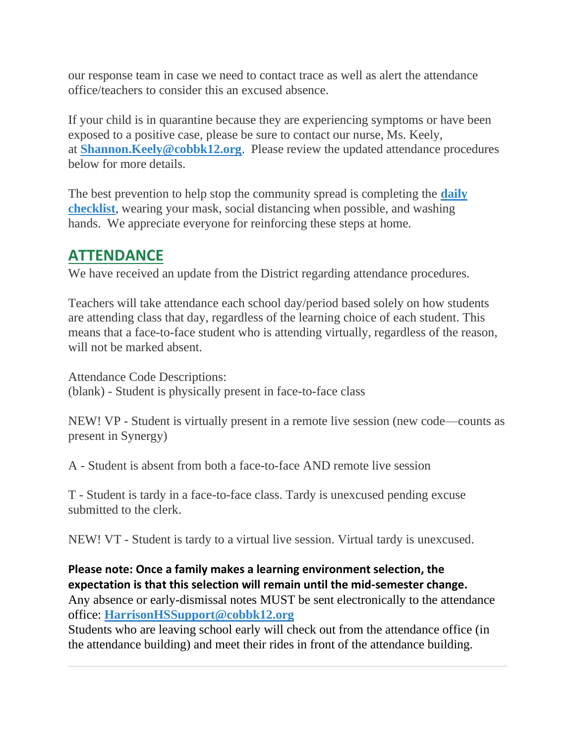our response team in case we need to contact trace as well as alert the attendance office/teachers to consider this an excused absence.

If your child is in quarantine because they are experiencing symptoms or have been exposed to a positive case, please be sure to contact our nurse, Ms. Keely, at **[Shannon.Keely@cobbk12.org](mailto:Shannon.Keely@cobbk12.org)**. Please review the updated attendance procedures below for more details.

The best prevention to help stop the community spread is completing the **[daily](https://secureservercdn.net/45.40.150.136/2hf.82a.myftpupload.com/wp-content/uploads/2020/09/Health-Checklist_Digital.pdf)  [checklist](https://secureservercdn.net/45.40.150.136/2hf.82a.myftpupload.com/wp-content/uploads/2020/09/Health-Checklist_Digital.pdf)**, wearing your mask, social distancing when possible, and washing hands. We appreciate everyone for reinforcing these steps at home.

#### **ATTENDANCE**

We have received an update from the District regarding attendance procedures.

Teachers will take attendance each school day/period based solely on how students are attending class that day, regardless of the learning choice of each student. This means that a face-to-face student who is attending virtually, regardless of the reason, will not be marked absent.

Attendance Code Descriptions: (blank) - Student is physically present in face-to-face class

NEW! VP - Student is virtually present in a remote live session (new code—counts as present in Synergy)

A - Student is absent from both a face-to-face AND remote live session

T - Student is tardy in a face-to-face class. Tardy is unexcused pending excuse submitted to the clerk.

NEW! VT - Student is tardy to a virtual live session. Virtual tardy is unexcused.

#### **Please note: Once a family makes a learning environment selection, the expectation is that this selection will remain until the mid-semester change.**

Any absence or early-dismissal notes MUST be sent electronically to the attendance office: **[HarrisonHSSupport@cobbk12.org](mailto:HarrisonHSSupport@cobbk12.org)**

Students who are leaving school early will check out from the attendance office (in the attendance building) and meet their rides in front of the attendance building.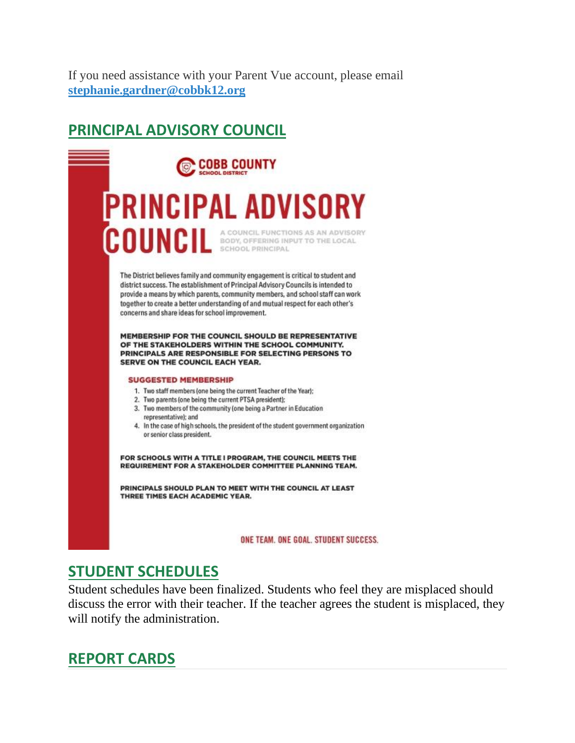If you need assistance with your Parent Vue account, please email **[stephanie.gardner@cobbk12.org](mailto:stephanie.gardner@cobbk12.org)**

## **PRINCIPAL ADVISORY COUNCIL**



#### **STUDENT SCHEDULES**

Student schedules have been finalized. Students who feel they are misplaced should discuss the error with their teacher. If the teacher agrees the student is misplaced, they will notify the administration.

#### **REPORT CARDS**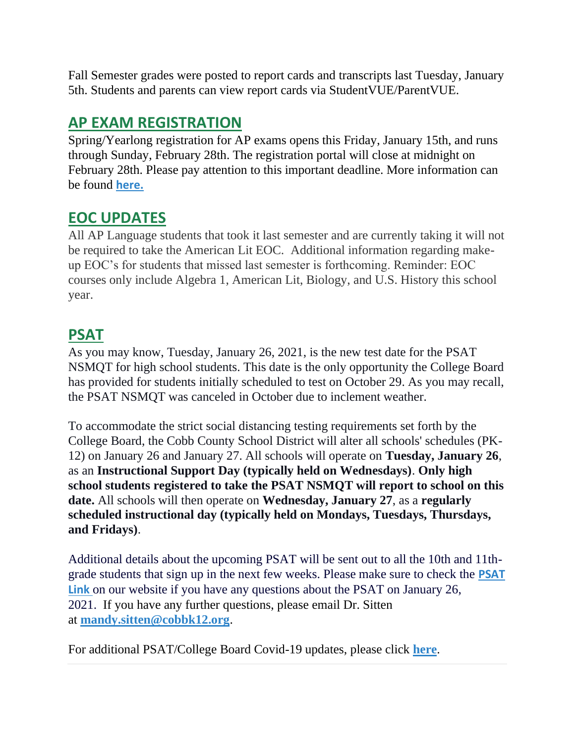Fall Semester grades were posted to report cards and transcripts last Tuesday, January 5th. Students and parents can view report cards via StudentVUE/ParentVUE.

## **AP EXAM REGISTRATION**

Spring/Yearlong registration for AP exams opens this Friday, January 15th, and runs through Sunday, February 28th. The registration portal will close at midnight on February 28th. Please pay attention to this important deadline. More information can be found **[here.](https://cobbk12org-my.sharepoint.com/:b:/g/personal/lucia_poole_cobbk12_org/EUR7QnkZa9VHs7epS90zxR4Bg_yQembiM6_UetyqbKoLGQ?e=af3Ra6)**

## **EOC UPDATES**

All AP Language students that took it last semester and are currently taking it will not be required to take the American Lit EOC. Additional information regarding makeup EOC's for students that missed last semester is forthcoming. Reminder: EOC courses only include Algebra 1, American Lit, Biology, and U.S. History this school year.

## **PSAT**

As you may know, Tuesday, January 26, 2021, is the new test date for the PSAT NSMQT for high school students. This date is the only opportunity the College Board has provided for students initially scheduled to test on October 29. As you may recall, the PSAT NSMQT was canceled in October due to inclement weather.

To accommodate the strict social distancing testing requirements set forth by the College Board, the Cobb County School District will alter all schools' schedules (PK-12) on January 26 and January 27. All schools will operate on **Tuesday, January 26**, as an **Instructional Support Day (typically held on Wednesdays)**. **Only high school students registered to take the PSAT NSMQT will report to school on this date.** All schools will then operate on **Wednesday, January 27**, as a **regularly scheduled instructional day (typically held on Mondays, Tuesdays, Thursdays, and Fridays)**.

Additional details about the upcoming PSAT will be sent out to all the 10th and 11thgrade students that sign up in the next few weeks. Please make sure to check the **[PSAT](http://www.harrisonhigh.org/PSAT)  [Link](http://www.harrisonhigh.org/PSAT)** on our website if you have any questions about the PSAT on January 26, 2021. If you have any further questions, please email Dr. Sitten at **[mandy.sitten@cobbk12.org](mailto:mandy.sitten@cobbk12.org)**.

For additional PSAT/College Board Covid-19 updates, please click **[here](https://pages.collegeboard.org/sat-covid-19-updates)**.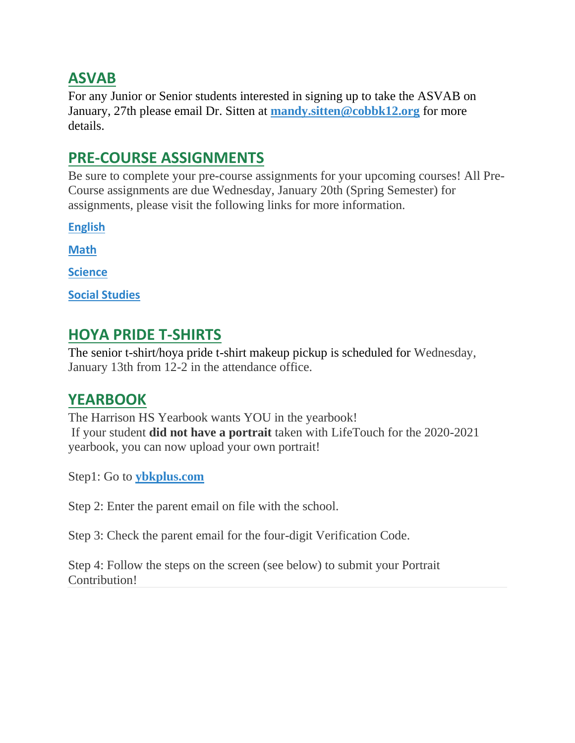#### **ASVAB**

For any Junior or Senior students interested in signing up to take the ASVAB on January, 27th please email Dr. Sitten at **[mandy.sitten@cobbk12.org](mailto:mandy.sitten@cobbk12.org)** for more details.

## **PRE-COURSE ASSIGNMENTS**

Be sure to complete your pre-course assignments for your upcoming courses! All Pre-Course assignments are due Wednesday, January 20th (Spring Semester) for assignments, please visit the following links for more information.

**[English](https://tb2cdn.schoolwebmasters.com/accnt_42975/site_42976/Documents/Pre-Course-Assignments-ELA.pdf)**

**[Math](https://tb2cdn.schoolwebmasters.com/accnt_42975/site_42976/Documents/Pre-Course-Assignments-Math.pdf)**

**[Science](https://tb2cdn.schoolwebmasters.com/accnt_42975/site_42976/Documents/Pre-Course-Assignments-Science.pdf)**

**[Social Studies](https://tb2cdn.schoolwebmasters.com/accnt_42975/site_42976/Documents/Pre-Course-Assignments-Social-Studies.pdf)**

## **HOYA PRIDE T-SHIRTS**

The senior t-shirt/hoya pride t-shirt makeup pickup is scheduled for Wednesday, January 13th from 12-2 in the attendance office.

## **YEARBOOK**

The Harrison HS Yearbook wants YOU in the yearbook! If your student **did not have a portrait** taken with LifeTouch for the 2020-2021 yearbook, you can now upload your own portrait!

Step1: Go to **[ybkplus.com](https://nam11.safelinks.protection.outlook.com/?url=http%3A%2F%2Fybkplus.com%2F&data=04%7C01%7Cmelody.madray%40cobbk12.org%7Ca78dd220d0184aec292308d89dea3d03%7C2fce1dfb919f4938aab8c47f0fc9182d%7C0%7C0%7C637432976669206382%7CUnknown%7CTWFpbGZsb3d8eyJWIjoiMC4wLjAwMDAiLCJQIjoiV2luMzIiLCJBTiI6Ik1haWwiLCJXVCI6Mn0%3D%7C1000&sdata=Xicoq7Oi8RIGH%2BbtF3vl4EcMoKbDZJ1LFhzSaSdIZuo%3D&reserved=0)**

Step 2: Enter the parent email on file with the school.

Step 3: Check the parent email for the four-digit Verification Code.

Step 4: Follow the steps on the screen (see below) to submit your Portrait Contribution!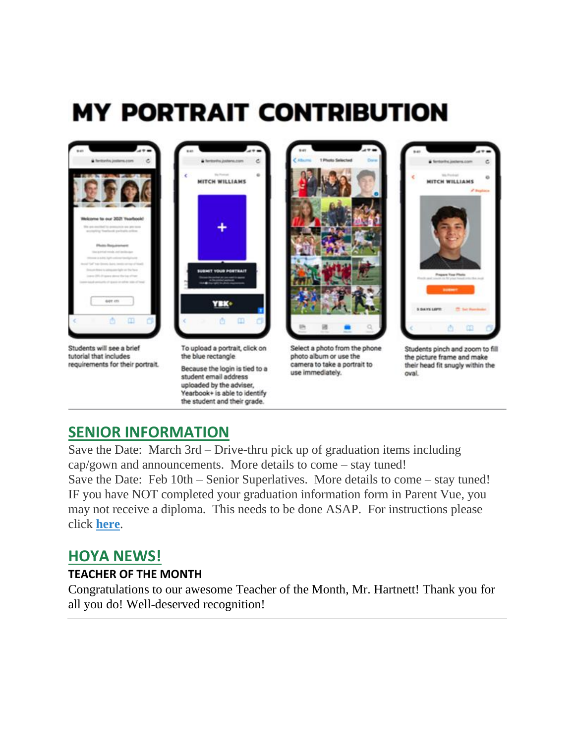# **MY PORTRAIT CONTRIBUTION**



#### **SENIOR INFORMATION**

Save the Date: March 3rd – Drive-thru pick up of graduation items including cap/gown and announcements. More details to come – stay tuned! Save the Date: Feb 10th – Senior Superlatives. More details to come – stay tuned! IF you have NOT completed your graduation information form in Parent Vue, you may not receive a diploma. This needs to be done ASAP. For instructions please click **[here](https://tb2cdn.schoolwebmasters.com/accnt_42975/site_42976/Documents/Graduation-Information-Form-Online-Instructions-for-Parents.pdf)**.

#### **HOYA NEWS!**

#### **TEACHER OF THE MONTH**

Congratulations to our awesome Teacher of the Month, Mr. Hartnett! Thank you for all you do! Well-deserved recognition!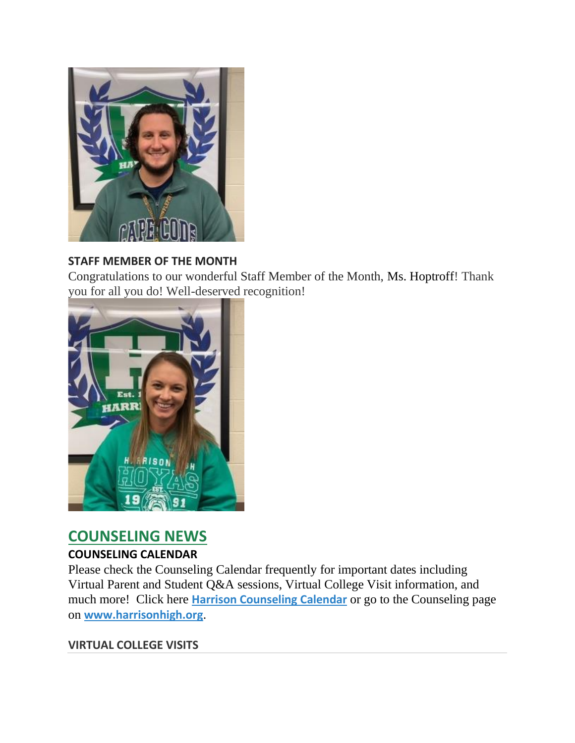

#### **STAFF MEMBER OF THE MONTH**

Congratulations to our wonderful Staff Member of the Month, Ms. Hoptroff! Thank you for all you do! Well-deserved recognition!



## **COUNSELING NEWS**

#### **COUNSELING CALENDAR**

Please check the Counseling Calendar frequently for important dates including Virtual Parent and Student Q&A sessions, Virtual College Visit information, and much more! Click here **[Harrison Counseling Calendar](https://calendar.google.com/calendar/embed?src=tasr4q5spailsj1itftjdtn6mk%40group.calendar.google.com&ctz=America%2FNew_York)** or go to the Counseling page on **[www.harrisonhigh.org](http://www.harrisonhigh.org/)**.

#### **VIRTUAL COLLEGE VISITS**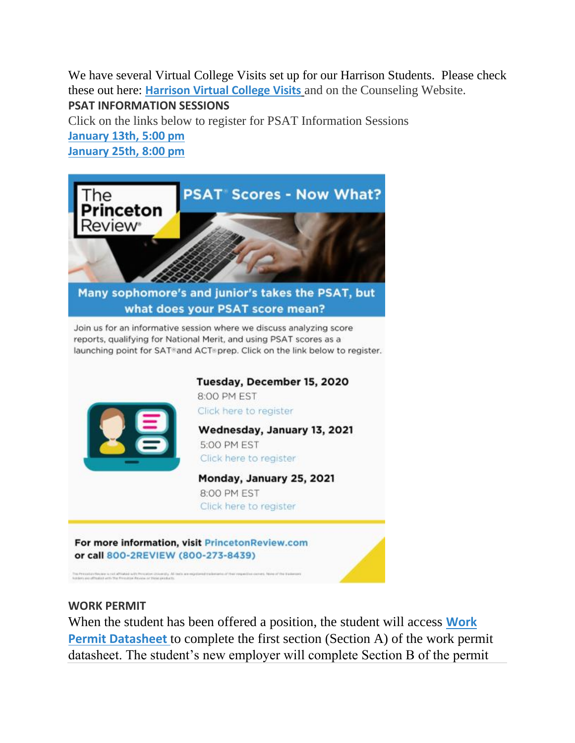We have several Virtual College Visits set up for our Harrison Students. Please check these out here: **[Harrison Virtual College Visits](https://cobbk12org-my.sharepoint.com/:x:/g/personal/leanna_kor_cobbk12_org/EWP6BGgLdCBOvhv5RDRuCVwBqHA2jXXmnAUqr7hXgxEU7w?rtime=t-E10MJN2Eg)** and on the Counseling Website.

**PSAT INFORMATION SESSIONS**

Click on the links below to register for PSAT Information Sessions **[January 13th, 5:00 pm](https://www.princetonreview.com/product/offerings/474069?z=10017) [January 25th, 8:00 pm](https://www.princetonreview.com/product/offerings/474070?z=10017)**





Click here to register

Wednesday, January 13, 2021 5:00 PM EST Click here to register

Monday, January 25, 2021 8:00 PM EST Click here to register

For more information, visit PrincetonReview.com or call 800-2REVIEW (800-273-8439)

#### **WORK PERMIT**

When the student has been offered a position, the student will access **[Work](https://nam03.safelinks.protection.outlook.com/?url=https%3A%2F%2Fwww.dol.state.ga.us%2FWS4-MW5%2Fcics.jsp%3FTRANSID%3DWP17%26FRMNAME%3DWP17&data=02%7C01%7CAudra.Skalski%40cobbk12.org%7C856357e8e49d4d50041d08d80cb84415%7C2fce1dfb919f4938aab8c47f0fc9182d%7C0%7C1%7C637273332845584845&sdata=sYK4oD2g8pZe2iY4gQXjSHJq%2FGMstnRRcs7%2F3kUZoWc%3D&reserved=0)  [Permit Datasheet](https://nam03.safelinks.protection.outlook.com/?url=https%3A%2F%2Fwww.dol.state.ga.us%2FWS4-MW5%2Fcics.jsp%3FTRANSID%3DWP17%26FRMNAME%3DWP17&data=02%7C01%7CAudra.Skalski%40cobbk12.org%7C856357e8e49d4d50041d08d80cb84415%7C2fce1dfb919f4938aab8c47f0fc9182d%7C0%7C1%7C637273332845584845&sdata=sYK4oD2g8pZe2iY4gQXjSHJq%2FGMstnRRcs7%2F3kUZoWc%3D&reserved=0)** to complete the first section (Section A) of the work permit datasheet. The student's new employer will complete Section B of the permit